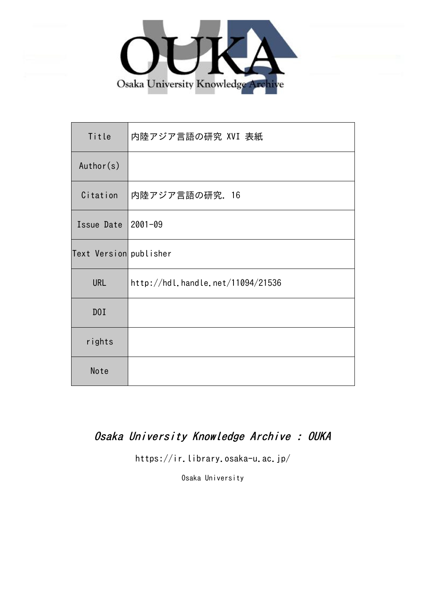

| Title                  | 内陸アジア言語の研究 XVI 表紙                 |
|------------------------|-----------------------------------|
| Author(s)              |                                   |
| Citation               | 内陸アジア言語の研究. 16                    |
| Issue Date             | $2001 - 09$                       |
| Text Version publisher |                                   |
| <b>URL</b>             | http://hdl.handle.net/11094/21536 |
| D0I                    |                                   |
| rights                 |                                   |
| Note                   |                                   |

## Osaka University Knowledge Archive : OUKA

https://ir.library.osaka-u.ac.jp/

Osaka University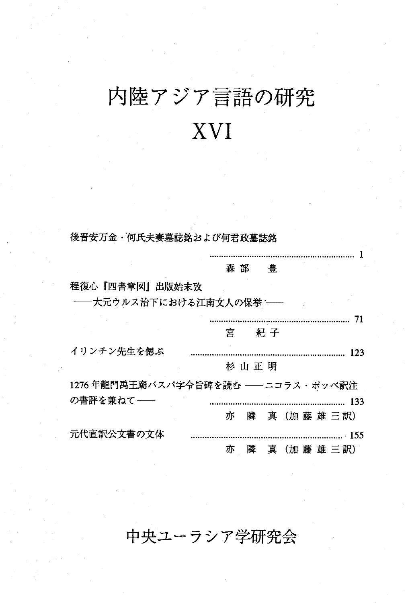# 内陸アジア言語の研究 XVI

後晋安万金・何氏夫妻墓誌銘および何君政墓誌銘

|                                   | 森 部 |         | 豊   |  |  |  |            |     |
|-----------------------------------|-----|---------|-----|--|--|--|------------|-----|
| 程復心『四書章図』出版始末攷                    |     |         |     |  |  |  |            |     |
| ――大元ウルス治下における江南文人の保挙 ――           |     |         |     |  |  |  |            |     |
|                                   |     |         |     |  |  |  |            | 71  |
|                                   | 宮   |         | 紀 子 |  |  |  |            |     |
| イリンチン先生を偲ぶ                        |     |         |     |  |  |  |            | 123 |
|                                   |     | 杉 山 正 明 |     |  |  |  |            |     |
| 1276年龍門禹王廟パスパ字令旨碑を読む ––ニコラス・ポッペ訳注 |     |         |     |  |  |  |            |     |
| の書評を兼ねて――                         |     |         |     |  |  |  |            |     |
|                                   | 亦   |         |     |  |  |  | 隣 真(加藤雄三訳) |     |
| 元代直訳公文書の文体                        |     |         |     |  |  |  |            |     |
|                                   | 亦   | 隣       | 真   |  |  |  | (加藤雄三訳)    |     |

### 中央ユーラシア学研究会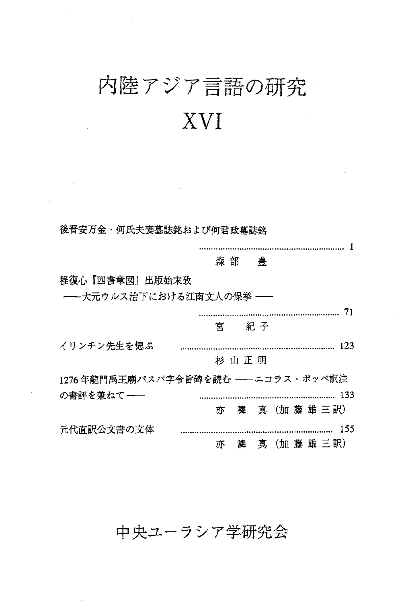## 内陸アジア言語の研究 XVI

後晋安万金・何氏夫妻墓誌銘および何君政墓誌銘

1 森部 豊 程復心『四書章図』出版始末攷 -- 大元ウルス治下における江南文人の保挙 --71 宮 紀子 123 イリンチン先生を偲ぶ 杉山正明 1276年龍門禹王廟パスパ字令旨碑を読む ––ニコラス・ポッペ訳注 の書評を兼ねて–– 133 亦 隣 真(加藤雄三訳) 元代直訳公文書の文体 155 ...................... 亦 隣 真 (加藤雄三訳)

### 中央ユーラシア学研究会